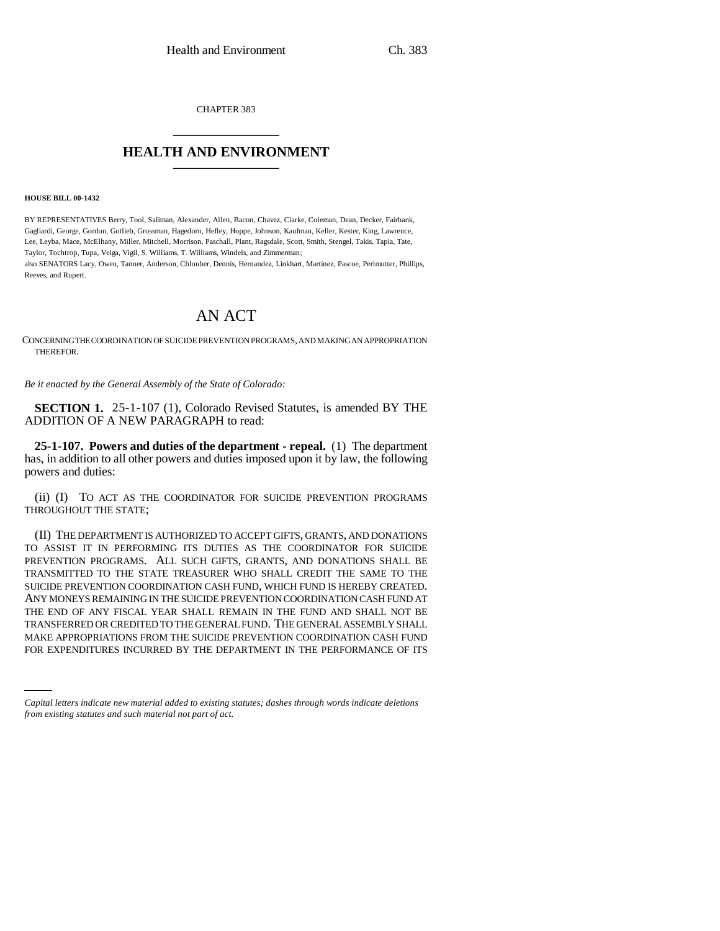CHAPTER 383 \_\_\_\_\_\_\_\_\_\_\_\_\_\_\_

## **HEALTH AND ENVIRONMENT** \_\_\_\_\_\_\_\_\_\_\_\_\_\_\_

**HOUSE BILL 00-1432** 

BY REPRESENTATIVES Berry, Tool, Saliman, Alexander, Allen, Bacon, Chavez, Clarke, Coleman, Dean, Decker, Fairbank, Gagliardi, George, Gordon, Gotlieb, Grossman, Hagedorn, Hefley, Hoppe, Johnson, Kaufman, Keller, Kester, King, Lawrence, Lee, Leyba, Mace, McElhany, Miller, Mitchell, Morrison, Paschall, Plant, Ragsdale, Scott, Smith, Stengel, Takis, Tapia, Tate, Taylor, Tochtrop, Tupa, Veiga, Vigil, S. Williams, T. Williams, Windels, and Zimmerman; also SENATORS Lacy, Owen, Tanner, Anderson, Chlouber, Dennis, Hernandez, Linkhart, Martinez, Pascoe, Perlmutter, Phillips, Reeves, and Rupert.

## AN ACT

CONCERNING THE COORDINATION OF SUICIDE PREVENTION PROGRAMS, AND MAKING AN APPROPRIATION THEREFOR.

*Be it enacted by the General Assembly of the State of Colorado:*

**SECTION 1.** 25-1-107 (1), Colorado Revised Statutes, is amended BY THE ADDITION OF A NEW PARAGRAPH to read:

**25-1-107. Powers and duties of the department - repeal.** (1) The department has, in addition to all other powers and duties imposed upon it by law, the following powers and duties:

(ii) (I) TO ACT AS THE COORDINATOR FOR SUICIDE PREVENTION PROGRAMS THROUGHOUT THE STATE;

MAKE APPROPRIATIONS FROM THE SUICIDE PREVENTION COORDINATION CASH FUND (II) THE DEPARTMENT IS AUTHORIZED TO ACCEPT GIFTS, GRANTS, AND DONATIONS TO ASSIST IT IN PERFORMING ITS DUTIES AS THE COORDINATOR FOR SUICIDE PREVENTION PROGRAMS. ALL SUCH GIFTS, GRANTS, AND DONATIONS SHALL BE TRANSMITTED TO THE STATE TREASURER WHO SHALL CREDIT THE SAME TO THE SUICIDE PREVENTION COORDINATION CASH FUND, WHICH FUND IS HEREBY CREATED. ANY MONEYS REMAINING IN THE SUICIDE PREVENTION COORDINATION CASH FUND AT THE END OF ANY FISCAL YEAR SHALL REMAIN IN THE FUND AND SHALL NOT BE TRANSFERRED OR CREDITED TO THE GENERAL FUND. THE GENERAL ASSEMBLY SHALL FOR EXPENDITURES INCURRED BY THE DEPARTMENT IN THE PERFORMANCE OF ITS

*Capital letters indicate new material added to existing statutes; dashes through words indicate deletions from existing statutes and such material not part of act.*